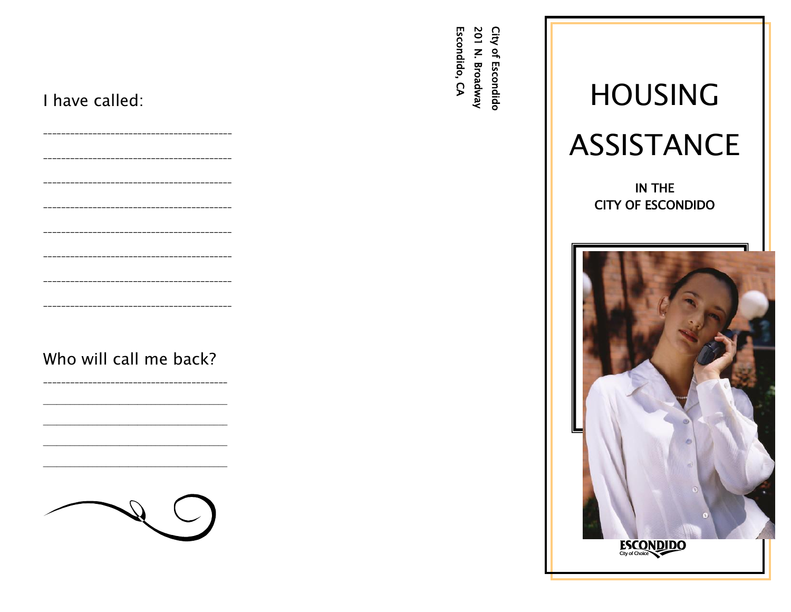| I have called:<br>______________________________             | <b>201</b><br>City<br>Escondido, CA<br>$\mathbf{z}$<br>$\mathbf{a}$<br><b>Broadway</b><br><b>Escondido</b> | <b>HOUSING</b><br><b>ASSISTANCE</b> |
|--------------------------------------------------------------|------------------------------------------------------------------------------------------------------------|-------------------------------------|
| ----------------------------<br>---------------------------- |                                                                                                            | IN THE<br><b>CITY OF ESCONDIDO</b>  |
| Who will call me back?                                       |                                                                                                            | $\bullet$                           |
|                                                              |                                                                                                            | ESCONDIDO                           |